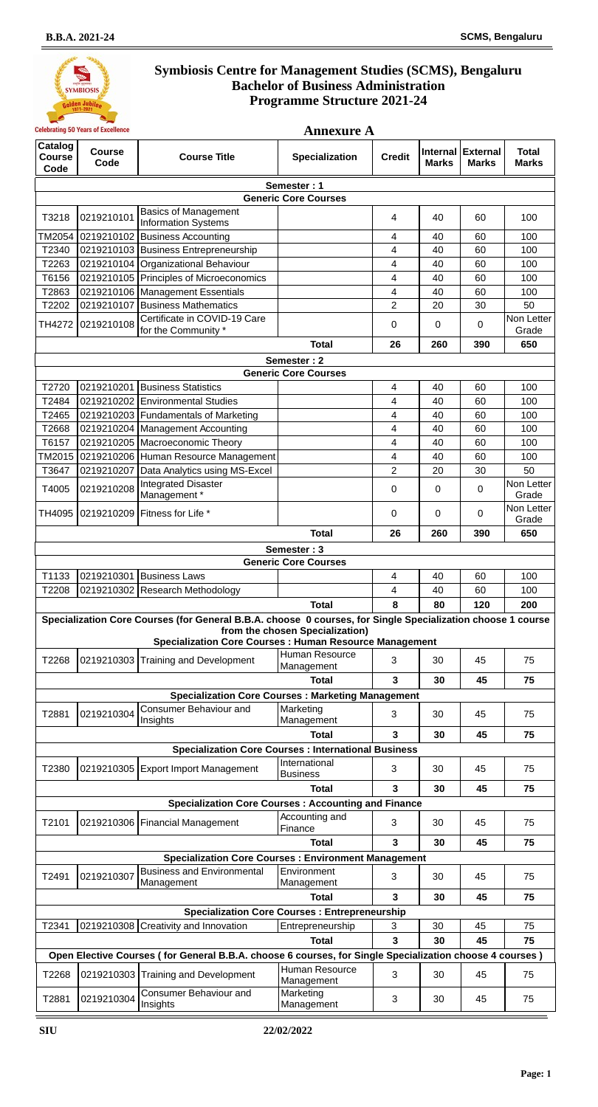

|                                  | <b>Celebrating 50 Years of Excellence</b><br><b>Annexure A</b> |                                                                                                                                                                              |                                  |                          |              |                                   |                              |
|----------------------------------|----------------------------------------------------------------|------------------------------------------------------------------------------------------------------------------------------------------------------------------------------|----------------------------------|--------------------------|--------------|-----------------------------------|------------------------------|
| Catalog<br><b>Course</b><br>Code | <b>Course</b><br>Code                                          | <b>Course Title</b>                                                                                                                                                          | <b>Specialization</b>            | <b>Credit</b>            | <b>Marks</b> | Internal External<br><b>Marks</b> | <b>Total</b><br><b>Marks</b> |
|                                  |                                                                |                                                                                                                                                                              | Semester: 1                      |                          |              |                                   |                              |
|                                  |                                                                |                                                                                                                                                                              | <b>Generic Core Courses</b>      |                          |              |                                   |                              |
| T3218                            | 0219210101                                                     | <b>Basics of Management</b><br><b>Information Systems</b>                                                                                                                    |                                  | $\overline{4}$           | 40           | 60                                | 100                          |
| TM2054                           | 0219210102                                                     | <b>Business Accounting</b>                                                                                                                                                   |                                  | 4                        | 40           | 60                                | 100                          |
| T2340                            |                                                                | 0219210103 Business Entrepreneurship                                                                                                                                         |                                  | 4                        | 40           | 60                                | 100                          |
| T2263                            |                                                                | 0219210104 Organizational Behaviour                                                                                                                                          |                                  | 4                        | 40           | 60                                | 100                          |
| T6156                            |                                                                | 0219210105 Principles of Microeconomics                                                                                                                                      |                                  | 4                        | 40           | 60                                | 100                          |
| T2863                            |                                                                | 0219210106 Management Essentials                                                                                                                                             |                                  | 4                        | 40           | 60                                | 100                          |
| T2202                            | 0219210107                                                     | <b>Business Mathematics</b>                                                                                                                                                  |                                  | $\overline{2}$           | 20           | 30                                | 50                           |
| TH4272                           | 0219210108                                                     | Certificate in COVID-19 Care<br>for the Community *                                                                                                                          |                                  | $\mathbf 0$              | 0            | 0                                 | Non Letter<br>Grade          |
|                                  |                                                                |                                                                                                                                                                              | <b>Total</b>                     | 26                       | 260          | 390                               | 650                          |
|                                  |                                                                |                                                                                                                                                                              | Semester: 2                      |                          |              |                                   |                              |
|                                  |                                                                |                                                                                                                                                                              | <b>Generic Core Courses</b>      |                          |              |                                   |                              |
| T2720                            |                                                                | 0219210201 Business Statistics                                                                                                                                               |                                  | $\overline{\mathcal{A}}$ | 40           | 60                                | 100                          |
| T2484                            |                                                                | 0219210202 Environmental Studies                                                                                                                                             |                                  | 4                        | 40           | 60                                | 100                          |
| T2465                            |                                                                | 0219210203   Fundamentals of Marketing                                                                                                                                       |                                  | 4                        | 40           | 60                                | 100                          |
| T2668                            | 0219210204                                                     | Management Accounting                                                                                                                                                        |                                  | 4                        | 40           | 60                                | 100                          |
| T6157                            |                                                                | 0219210205 Macroeconomic Theory                                                                                                                                              |                                  | 4                        | 40           | 60                                | 100                          |
| TM2015                           |                                                                | 0219210206 Human Resource Management                                                                                                                                         |                                  | 4                        | 40           | 60                                | 100                          |
| T3647                            | 0219210207                                                     | Data Analytics using MS-Excel                                                                                                                                                |                                  | $\overline{2}$           | 20           | 30                                | 50                           |
| T4005                            | 0219210208                                                     | <b>Integrated Disaster</b><br>Management*                                                                                                                                    |                                  | 0                        | 0            | 0                                 | Non Letter<br>Grade          |
| TH4095                           | 0219210209                                                     | Fitness for Life *                                                                                                                                                           |                                  | $\mathbf 0$              | 0            | 0                                 | Non Letter<br>Grade          |
|                                  |                                                                |                                                                                                                                                                              | <b>Total</b>                     | 26                       | 260          | 390                               | 650                          |
|                                  |                                                                |                                                                                                                                                                              | Semester: 3                      |                          |              |                                   |                              |
|                                  |                                                                |                                                                                                                                                                              | <b>Generic Core Courses</b>      |                          |              |                                   |                              |
| T1133                            | 0219210301                                                     | <b>Business Laws</b>                                                                                                                                                         |                                  | 4                        | 40           | 60                                | 100                          |
| T2208                            |                                                                | 0219210302 Research Methodology                                                                                                                                              |                                  | 4                        | 40           | 60                                | 100                          |
|                                  |                                                                |                                                                                                                                                                              | <b>Total</b>                     | 8                        | 80           | 120                               | 200                          |
|                                  |                                                                | Specialization Core Courses (for General B.B.A. choose 0 courses, for Single Specialization choose 1 course<br><b>Specialization Core Courses: Human Resource Management</b> | from the chosen Specialization)  |                          |              |                                   |                              |
| T2268                            |                                                                | 0219210303 Training and Development                                                                                                                                          | Human Resource<br>Management     | 3                        | 30           | 45                                | 75                           |
|                                  |                                                                |                                                                                                                                                                              | <b>Total</b>                     | 3                        | 30           | 45                                | 75                           |
|                                  |                                                                | <b>Specialization Core Courses: Marketing Management</b>                                                                                                                     |                                  |                          |              |                                   |                              |
| T2881                            | 0219210304                                                     | <b>Consumer Behaviour and</b><br>Insights                                                                                                                                    | Marketing<br>Management          | 3                        | 30           | 45                                | 75                           |
|                                  |                                                                |                                                                                                                                                                              | <b>Total</b>                     | 3                        | 30           | 45                                | 75                           |
|                                  |                                                                | <b>Specialization Core Courses : International Business</b>                                                                                                                  |                                  |                          |              |                                   |                              |
| T2380                            |                                                                | 0219210305 Export Import Management                                                                                                                                          | International<br><b>Business</b> | 3                        | 30           | 45                                | 75                           |
|                                  |                                                                |                                                                                                                                                                              | <b>Total</b>                     | 3                        | 30           | 45                                | 75                           |
|                                  |                                                                | <b>Specialization Core Courses: Accounting and Finance</b>                                                                                                                   |                                  |                          |              |                                   |                              |
| T2101                            |                                                                | 0219210306   Financial Management                                                                                                                                            | Accounting and<br>Finance        | 3                        | 30           | 45                                | 75                           |
|                                  |                                                                |                                                                                                                                                                              | <b>Total</b>                     | 3                        | 30           | 45                                | 75                           |
|                                  |                                                                | <b>Specialization Core Courses: Environment Management</b>                                                                                                                   |                                  |                          |              |                                   |                              |
| T2491                            | 0219210307                                                     | <b>Business and Environmental</b><br>Management                                                                                                                              | Environment<br>Management        | 3                        | 30           | 45                                | 75                           |
|                                  |                                                                |                                                                                                                                                                              | <b>Total</b>                     | 3                        | 30           | 45                                | 75                           |
|                                  |                                                                | <b>Specialization Core Courses: Entrepreneurship</b>                                                                                                                         |                                  |                          |              |                                   |                              |
| T2341                            |                                                                | 0219210308 Creativity and Innovation                                                                                                                                         | Entrepreneurship                 | 3                        | 30           | 45                                | 75                           |
|                                  |                                                                |                                                                                                                                                                              | <b>Total</b>                     | 3                        | 30           | 45                                | 75                           |
|                                  |                                                                | Open Elective Courses (for General B.B.A. choose 6 courses, for Single Specialization choose 4 courses)                                                                      |                                  |                          |              |                                   |                              |
| T2268                            |                                                                | 0219210303 Training and Development                                                                                                                                          | Human Resource<br>Management     | 3                        | 30           | 45                                | 75                           |
| T2881                            | 0219210304                                                     | Consumer Behaviour and<br>Insights                                                                                                                                           | Marketing<br>Management          | 3                        | $30\,$       | 45                                | 75                           |
|                                  |                                                                |                                                                                                                                                                              |                                  |                          |              |                                   |                              |

**Page: 1**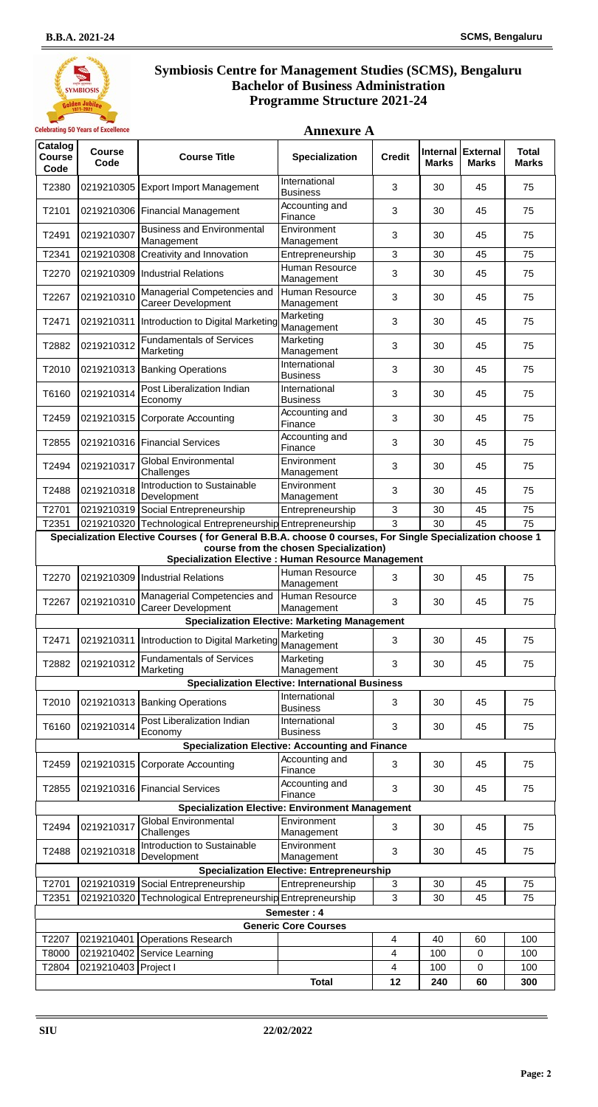**Annexure A**



| Catalog<br>Course<br>Code | <b>Course</b><br>Code | <b>Course Title</b>                                                                                      | <b>Specialization</b>                                  | <b>Credit</b> | Internal<br><b>Marks</b> | <b>External</b><br><b>Marks</b> | <b>Total</b><br><b>Marks</b> |
|---------------------------|-----------------------|----------------------------------------------------------------------------------------------------------|--------------------------------------------------------|---------------|--------------------------|---------------------------------|------------------------------|
| T2380                     |                       | 0219210305 Export Import Management                                                                      | International<br><b>Business</b>                       | 3             | 30                       | 45                              | 75                           |
| T2101                     |                       | 0219210306 Financial Management                                                                          | Accounting and<br>Finance                              | 3             | 30                       | 45                              | 75                           |
| T2491                     | 0219210307            | <b>Business and Environmental</b><br>Management                                                          | Environment<br>Management                              | 3             | 30                       | 45                              | 75                           |
| T2341                     | 0219210308            | Creativity and Innovation                                                                                | Entrepreneurship                                       | 3             | 30                       | 45                              | 75                           |
| T2270                     |                       | 0219210309 Industrial Relations                                                                          | Human Resource<br>Management                           | 3             | 30                       | 45                              | 75                           |
| T2267                     | 0219210310            | Managerial Competencies and<br><b>Career Development</b>                                                 | Human Resource<br>Management                           | 3             | 30                       | 45                              | 75                           |
| T2471                     | 0219210311            | Introduction to Digital Marketing                                                                        | Marketing<br>Management                                | 3             | 30                       | 45                              | 75                           |
| T2882                     | 0219210312            | <b>Fundamentals of Services</b><br>Marketing                                                             | Marketing<br>Management                                | 3             | 30                       | 45                              | 75                           |
| T2010                     |                       | 0219210313 Banking Operations                                                                            | International<br><b>Business</b>                       | 3             | 30                       | 45                              | 75                           |
| T6160                     | 0219210314            | Post Liberalization Indian<br>Economy                                                                    | International<br><b>Business</b>                       | 3             | 30                       | 45                              | 75                           |
| T2459                     | 0219210315            | Corporate Accounting                                                                                     | Accounting and<br>Finance                              | 3             | 30                       | 45                              | 75                           |
| T2855                     |                       | 0219210316 Financial Services                                                                            | Accounting and<br>Finance                              | 3             | 30                       | 45                              | 75                           |
| T2494                     | 0219210317            | <b>Global Environmental</b><br>Challenges                                                                | Environment<br>Management                              | 3             | 30                       | 45                              | 75                           |
| T2488                     | 0219210318            | Introduction to Sustainable<br>Development                                                               | Environment<br>Management                              | 3             | 30                       | 45                              | 75                           |
| T2701                     |                       | 0219210319 Social Entrepreneurship                                                                       | Entrepreneurship                                       | 3             | 30                       | 45                              | 75                           |
| T2351                     |                       | 0219210320 Technological Entrepreneurship Entrepreneurship                                               |                                                        | 3             | 30                       | 45                              | 75                           |
|                           |                       | Specialization Elective Courses (for General B.B.A. choose 0 courses, For Single Specialization choose 1 |                                                        |               |                          |                                 |                              |
|                           |                       | <b>Specialization Elective : Human Resource Management</b>                                               | course from the chosen Specialization)                 |               |                          |                                 |                              |
| T2270                     |                       | 0219210309 Industrial Relations                                                                          | Human Resource<br>Management                           | 3             | 30                       | 45                              | 75                           |
| T2267                     | 0219210310            | Managerial Competencies and<br><b>Career Development</b>                                                 | Human Resource<br>Management                           | 3             | 30                       | 45                              | 75                           |
|                           |                       |                                                                                                          | <b>Specialization Elective: Marketing Management</b>   |               |                          |                                 |                              |
| T2471                     | 0219210311            | Introduction to Digital Marketing                                                                        | Marketing<br>Management                                | 3             | 30                       | 45                              | 75                           |
| T2882                     | 0219210312            | <b>Fundamentals of Services</b><br>Marketing                                                             | Marketing<br>Management                                | 3             | 30                       | 45                              | 75                           |
|                           |                       |                                                                                                          | <b>Specialization Elective: International Business</b> |               |                          |                                 |                              |
| T2010                     |                       | 0219210313 Banking Operations                                                                            | International<br><b>Business</b>                       | 3             | 30                       | 45                              | 75                           |
| T6160                     | 0219210314            | Post Liberalization Indian<br>Economy                                                                    | International<br><b>Business</b>                       | 3             | 30                       | 45                              | 75                           |
|                           |                       | <b>Specialization Elective: Accounting and Finance</b>                                                   |                                                        |               |                          |                                 |                              |
| T2459                     |                       | 0219210315 Corporate Accounting                                                                          | Accounting and<br>Finance                              | 3             | 30                       | 45                              | 75                           |
| T2855                     |                       | 0219210316 Financial Services                                                                            | Accounting and<br>Finance                              | 3             | 30                       | 45                              | 75                           |
|                           |                       | <b>Specialization Elective: Environment Management</b>                                                   |                                                        |               |                          |                                 |                              |
| T2494                     | 0219210317            | <b>Global Environmental</b><br>Challenges                                                                | Environment<br>Management                              | 3             | 30                       | 45                              | 75                           |
| T2488                     | 0219210318            | Introduction to Sustainable<br>Development                                                               | Environment<br>Management                              | 3             | 30                       | 45                              | 75                           |
|                           |                       |                                                                                                          | <b>Specialization Elective: Entrepreneurship</b>       |               |                          |                                 |                              |
| T2701                     |                       | 0219210319 Social Entrepreneurship                                                                       | Entrepreneurship                                       | 3             | 30                       | 45                              | 75                           |
| T2351                     | 0219210320            | Technological Entrepreneurship Entrepreneurship                                                          |                                                        | 3             | 30                       | 45                              | 75                           |
|                           |                       |                                                                                                          | Semester: 4<br><b>Generic Core Courses</b>             |               |                          |                                 |                              |
| T2207                     | 0219210401            | <b>Operations Research</b>                                                                               |                                                        | 4             | 40                       | 60                              | 100                          |
| T8000<br>T2804            |                       | 0219210402 Service Learning                                                                              |                                                        | 4             | 100                      | 0                               | 100                          |
|                           | 0219210403 Project I  |                                                                                                          | <b>Total</b>                                           | 4<br>12       | 100<br>240               | 0<br>60                         | 100<br>300                   |

**Page: 2**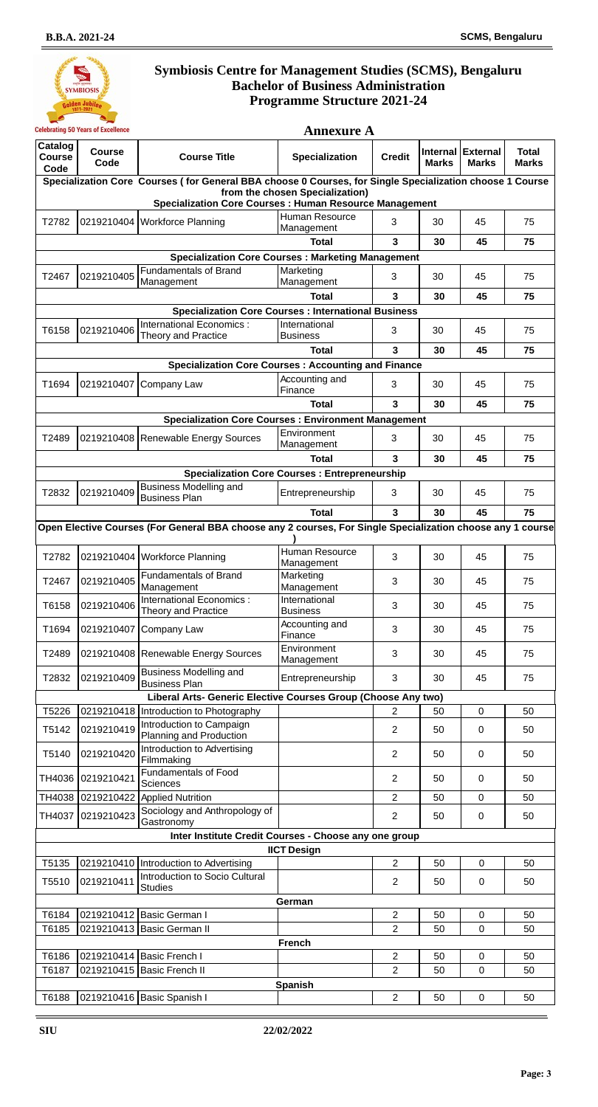

|                                  | <b>Celebrating 50 Years of Excellence</b> | <b>Annexure A</b>                                                                                          |                                                      |                                  |                                 |                                 |                              |
|----------------------------------|-------------------------------------------|------------------------------------------------------------------------------------------------------------|------------------------------------------------------|----------------------------------|---------------------------------|---------------------------------|------------------------------|
| Catalog<br><b>Course</b><br>Code | <b>Course</b><br>Code                     | <b>Course Title</b>                                                                                        | Specialization                                       | <b>Credit</b>                    | <b>Internal</b><br><b>Marks</b> | <b>External</b><br><b>Marks</b> | <b>Total</b><br><b>Marks</b> |
|                                  |                                           | Specialization Core Courses (for General BBA choose 0 Courses, for Single Specialization choose 1 Course   |                                                      |                                  |                                 |                                 |                              |
|                                  |                                           | <b>Specialization Core Courses: Human Resource Management</b>                                              | from the chosen Specialization)                      |                                  |                                 |                                 |                              |
| T2782                            |                                           | 0219210404 Workforce Planning                                                                              | Human Resource<br>Management                         | 3                                | 30                              | 45                              | 75                           |
|                                  |                                           |                                                                                                            | <b>Total</b>                                         | 3                                | 30                              | 45                              | 75                           |
|                                  |                                           | <b>Specialization Core Courses: Marketing Management</b>                                                   |                                                      |                                  |                                 |                                 |                              |
| T2467                            | 0219210405                                | <b>Fundamentals of Brand</b><br>Management                                                                 | Marketing<br>Management                              | 3                                | 30                              | 45                              | 75                           |
|                                  |                                           |                                                                                                            | <b>Total</b>                                         | 3                                | 30                              | 45                              | 75                           |
|                                  |                                           | <b>Specialization Core Courses: International Business</b><br>International Economics :                    | International                                        |                                  |                                 |                                 |                              |
| T6158                            | 0219210406                                | Theory and Practice                                                                                        | <b>Business</b>                                      | 3                                | 30                              | 45                              | 75                           |
|                                  |                                           |                                                                                                            | <b>Total</b>                                         | 3                                | 30                              | 45                              | 75                           |
|                                  |                                           | <b>Specialization Core Courses: Accounting and Finance</b>                                                 | Accounting and                                       |                                  |                                 |                                 |                              |
| T1694                            |                                           | 0219210407 Company Law                                                                                     | Finance                                              | 3                                | 30                              | 45                              | 75                           |
|                                  |                                           |                                                                                                            | <b>Total</b>                                         | 3                                | 30                              | 45                              | 75                           |
|                                  |                                           | <b>Specialization Core Courses: Environment Management</b>                                                 |                                                      |                                  |                                 |                                 |                              |
| T2489                            |                                           | 0219210408 Renewable Energy Sources                                                                        | Environment<br>Management                            | 3                                | 30                              | 45                              | 75                           |
|                                  |                                           |                                                                                                            | <b>Total</b>                                         | 3                                | 30                              | 45                              | 75                           |
|                                  |                                           |                                                                                                            | <b>Specialization Core Courses: Entrepreneurship</b> |                                  |                                 |                                 |                              |
| T2832                            | 0219210409                                | <b>Business Modelling and</b><br><b>Business Plan</b>                                                      | Entrepreneurship                                     | 3                                | 30                              | 45                              | 75                           |
|                                  |                                           |                                                                                                            | <b>Total</b>                                         | 3                                | 30                              | 45                              | 75                           |
|                                  |                                           | Open Elective Courses (For General BBA choose any 2 courses, For Single Specialization choose any 1 course |                                                      |                                  |                                 |                                 |                              |
|                                  |                                           |                                                                                                            | Human Resource                                       |                                  |                                 |                                 |                              |
| T2782                            |                                           | 0219210404 Workforce Planning                                                                              | Management                                           | 3                                | 30                              | 45                              | 75                           |
| T2467                            | 0219210405                                | <b>Fundamentals of Brand</b><br>Management                                                                 | Marketing<br>Management                              | 3                                | 30                              | 45                              | 75                           |
| T6158                            | 0219210406                                | International Economics :<br>Theory and Practice                                                           | International<br><b>Business</b>                     | 3                                | 30                              | 45                              | 75                           |
| T1694                            |                                           | 0219210407 Company Law                                                                                     | Accounting and<br>Finance                            | 3                                | 30                              | 45                              | 75                           |
| T2489                            |                                           | 0219210408 Renewable Energy Sources                                                                        | Environment<br>Management                            | 3                                | 30                              | 45                              | 75                           |
| T2832                            | 0219210409                                | <b>Business Modelling and</b><br><b>Business Plan</b>                                                      | Entrepreneurship                                     | 3                                | 30                              | 45                              | 75                           |
|                                  |                                           | Liberal Arts- Generic Elective Courses Group (Choose Any two)                                              |                                                      |                                  |                                 |                                 |                              |
| T5226                            |                                           | 0219210418 Introduction to Photography                                                                     |                                                      | 2                                | 50                              | $\mathbf 0$                     | 50                           |
| T5142                            | 0219210419                                | <b>Introduction to Campaign</b><br>Planning and Production                                                 |                                                      | $\overline{2}$                   | 50                              | $\mathbf 0$                     | 50                           |
| T5140                            | 0219210420                                | <b>Introduction to Advertising</b><br>Filmmaking                                                           |                                                      | 2                                | 50                              | 0                               | 50                           |
| TH4036                           | 0219210421                                | <b>Fundamentals of Food</b><br>Sciences                                                                    |                                                      | $\overline{2}$                   | 50                              | 0                               | 50                           |
| TH4038                           | 0219210422                                | <b>Applied Nutrition</b>                                                                                   |                                                      | $\overline{2}$                   | 50                              | $\mathbf 0$                     | 50                           |
| TH4037                           | 0219210423                                | Sociology and Anthropology of<br>Gastronomy                                                                |                                                      | $\overline{2}$                   | 50                              | $\pmb{0}$                       | 50                           |
|                                  |                                           | Inter Institute Credit Courses - Choose any one group                                                      |                                                      |                                  |                                 |                                 |                              |
|                                  |                                           |                                                                                                            | <b>IICT Design</b>                                   |                                  |                                 |                                 |                              |
| T5135                            | 0219210410                                | Introduction to Advertising<br>Introduction to Socio Cultural                                              |                                                      | $\overline{2}$                   | 50                              | $\mathbf 0$                     | 50                           |
| T5510                            | 0219210411                                | <b>Studies</b>                                                                                             |                                                      | $\overline{2}$                   | 50                              | 0                               | 50                           |
|                                  |                                           |                                                                                                            | German                                               |                                  |                                 |                                 |                              |
| T6184<br>T6185                   |                                           | 0219210412 Basic German I<br>0219210413 Basic German II                                                    |                                                      | $\overline{2}$<br>$\overline{2}$ | 50<br>50                        | 0<br>0                          | 50<br>50                     |
|                                  |                                           |                                                                                                            | <b>French</b>                                        |                                  |                                 |                                 |                              |
| T6186                            |                                           | 0219210414 Basic French I                                                                                  |                                                      | $\overline{2}$                   | 50                              | $\pmb{0}$                       | 50                           |
| T6187                            |                                           | 0219210415 Basic French II                                                                                 |                                                      | $\overline{2}$                   | 50                              | $\mathbf 0$                     | 50                           |
|                                  |                                           |                                                                                                            | <b>Spanish</b>                                       |                                  |                                 |                                 |                              |
| T6188                            |                                           | 0219210416 Basic Spanish I                                                                                 |                                                      | $\overline{2}$                   | 50                              | 0                               | 50                           |

**Page: 3**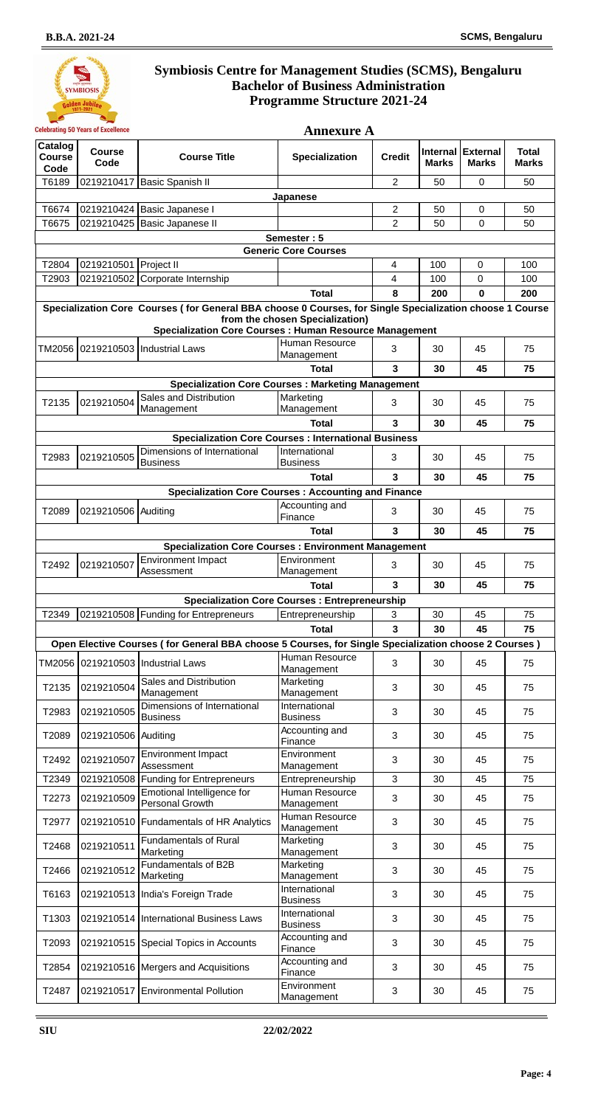

|                                  | <b>Celebrating 50 Years of Excellence</b><br><b>Annexure A</b> |                                                                                                          |                                                      |                         |              |                                   |                              |
|----------------------------------|----------------------------------------------------------------|----------------------------------------------------------------------------------------------------------|------------------------------------------------------|-------------------------|--------------|-----------------------------------|------------------------------|
| Catalog<br><b>Course</b><br>Code | <b>Course</b><br>Code                                          | <b>Course Title</b>                                                                                      | <b>Specialization</b>                                | <b>Credit</b>           | <b>Marks</b> | Internal External<br><b>Marks</b> | <b>Total</b><br><b>Marks</b> |
| T6189                            | 0219210417                                                     | <b>Basic Spanish II</b>                                                                                  |                                                      | 2                       | 50           | 0                                 | 50                           |
|                                  |                                                                |                                                                                                          | Japanese                                             |                         |              |                                   |                              |
| T6674                            | 0219210424                                                     | Basic Japanese I                                                                                         |                                                      | $\overline{2}$          | 50           | 0                                 | 50                           |
| T6675                            | 0219210425                                                     | Basic Japanese II                                                                                        |                                                      | $\overline{2}$          | 50           | 0                                 | 50                           |
|                                  |                                                                |                                                                                                          | Semester: 5<br><b>Generic Core Courses</b>           |                         |              |                                   |                              |
| T2804                            | 0219210501                                                     | <b>Project II</b>                                                                                        |                                                      | 4                       | 100          | 0                                 | 100                          |
| T2903                            | 0219210502                                                     | Corporate Internship                                                                                     |                                                      | 4                       | 100          | 0                                 | 100                          |
|                                  |                                                                |                                                                                                          | <b>Total</b>                                         | 8                       | 200          | 0                                 | 200                          |
|                                  |                                                                | Specialization Core Courses (for General BBA choose 0 Courses, for Single Specialization choose 1 Course |                                                      |                         |              |                                   |                              |
|                                  |                                                                |                                                                                                          | from the chosen Specialization)                      |                         |              |                                   |                              |
|                                  |                                                                | <b>Specialization Core Courses: Human Resource Management</b>                                            | Human Resource                                       |                         |              |                                   |                              |
|                                  |                                                                |                                                                                                          | Management                                           | 3                       | 30           | 45                                | 75                           |
|                                  |                                                                |                                                                                                          | <b>Total</b>                                         | $\overline{\mathbf{3}}$ | 30           | 45                                | 75                           |
|                                  |                                                                | <b>Specialization Core Courses: Marketing Management</b>                                                 |                                                      |                         |              |                                   |                              |
| T2135                            | 0219210504                                                     | Sales and Distribution                                                                                   | Marketing                                            | 3                       | 30           | 45                                | 75                           |
|                                  |                                                                | Management                                                                                               | Management                                           |                         |              |                                   |                              |
|                                  |                                                                |                                                                                                          | <b>Total</b>                                         | 3                       | 30           | 45                                | 75                           |
|                                  |                                                                | <b>Specialization Core Courses : International Business</b>                                              |                                                      |                         |              |                                   |                              |
| T2983                            | 0219210505                                                     | Dimensions of International<br><b>Business</b>                                                           | International<br><b>Business</b>                     | 3                       | 30           | 45                                | 75                           |
|                                  |                                                                |                                                                                                          | <b>Total</b>                                         | 3                       | 30           | 45                                | 75                           |
|                                  |                                                                | <b>Specialization Core Courses: Accounting and Finance</b>                                               |                                                      |                         |              |                                   |                              |
| T2089                            | 0219210506                                                     | Auditing                                                                                                 | Accounting and<br>Finance                            | 3                       | 30           | 45                                | 75                           |
|                                  |                                                                |                                                                                                          | <b>Total</b>                                         | 3                       | 30           | 45                                | 75                           |
|                                  |                                                                | <b>Specialization Core Courses: Environment Management</b>                                               |                                                      |                         |              |                                   |                              |
| T2492                            | 0219210507                                                     | <b>Environment Impact</b>                                                                                | Environment                                          | 3                       | 30           | 45                                | 75                           |
|                                  |                                                                | Assessment                                                                                               | Management                                           |                         |              |                                   |                              |
|                                  |                                                                |                                                                                                          | <b>Total</b>                                         | $\overline{\mathbf{3}}$ | 30           | 45                                | 75                           |
|                                  |                                                                |                                                                                                          | <b>Specialization Core Courses: Entrepreneurship</b> |                         |              |                                   |                              |
| T2349                            |                                                                | 0219210508 Funding for Entrepreneurs                                                                     | Entrepreneurship                                     | 3                       | 30           | 45                                | 75                           |
|                                  |                                                                |                                                                                                          | <b>Total</b>                                         | $\overline{\mathbf{3}}$ | 30           | 45                                | 75                           |
|                                  |                                                                | Open Elective Courses (for General BBA choose 5 Courses, for Single Specialization choose 2 Courses)     | Human Resource                                       |                         |              |                                   |                              |
| TM2056                           | 0219210503                                                     | Industrial Laws                                                                                          | Management                                           | 3                       | 30           | 45                                | 75                           |
| T2135                            | 0219210504                                                     | Sales and Distribution<br>Management                                                                     | Marketing<br>Management                              | 3                       | 30           | 45                                | 75                           |
| T2983                            | 0219210505                                                     | Dimensions of International                                                                              | International                                        | 3                       | 30           | 45                                | 75                           |
|                                  |                                                                | <b>Business</b>                                                                                          | <b>Business</b>                                      |                         |              |                                   |                              |
| T2089                            | 0219210506 Auditing                                            |                                                                                                          | Accounting and<br>Finance                            | 3                       | 30           | 45                                | 75                           |
| T2492                            | 0219210507                                                     | <b>Environment Impact</b><br>Assessment                                                                  | Environment<br>Management                            | 3                       | 30           | 45                                | 75                           |
| T2349                            | 0219210508                                                     | <b>Funding for Entrepreneurs</b>                                                                         | Entrepreneurship                                     | 3                       | 30           | 45                                | 75                           |
| T2273                            | 0219210509                                                     | Emotional Intelligence for<br>Personal Growth                                                            | Human Resource<br>Management                         | 3                       | 30           | 45                                | 75                           |
| T2977                            |                                                                | 0219210510 Fundamentals of HR Analytics                                                                  | Human Resource<br>Management                         | 3                       | 30           | 45                                | 75                           |
| T2468                            | 0219210511                                                     | <b>Fundamentals of Rural</b><br>Marketing                                                                | Marketing<br>Management                              | 3                       | 30           | 45                                | 75                           |
| T2466                            | 0219210512                                                     | Fundamentals of B2B<br>Marketing                                                                         | Marketing<br>Management                              | 3                       | 30           | 45                                | 75                           |
| T6163                            | 0219210513                                                     | India's Foreign Trade                                                                                    | International<br><b>Business</b>                     | 3                       | 30           | 45                                | 75                           |
| T1303                            |                                                                | 0219210514 International Business Laws                                                                   | International<br><b>Business</b>                     | 3                       | 30           | 45                                | 75                           |
| T2093                            |                                                                | 0219210515 Special Topics in Accounts                                                                    | Accounting and<br>Finance                            | 3                       | 30           | 45                                | 75                           |
| T2854                            |                                                                | 0219210516 Mergers and Acquisitions                                                                      | Accounting and<br>Finance                            | 3                       | 30           | 45                                | 75                           |
| T2487                            |                                                                | 0219210517 Environmental Pollution                                                                       | Environment<br>Management                            | 3                       | 30           | 45                                | 75                           |

**Page: 4**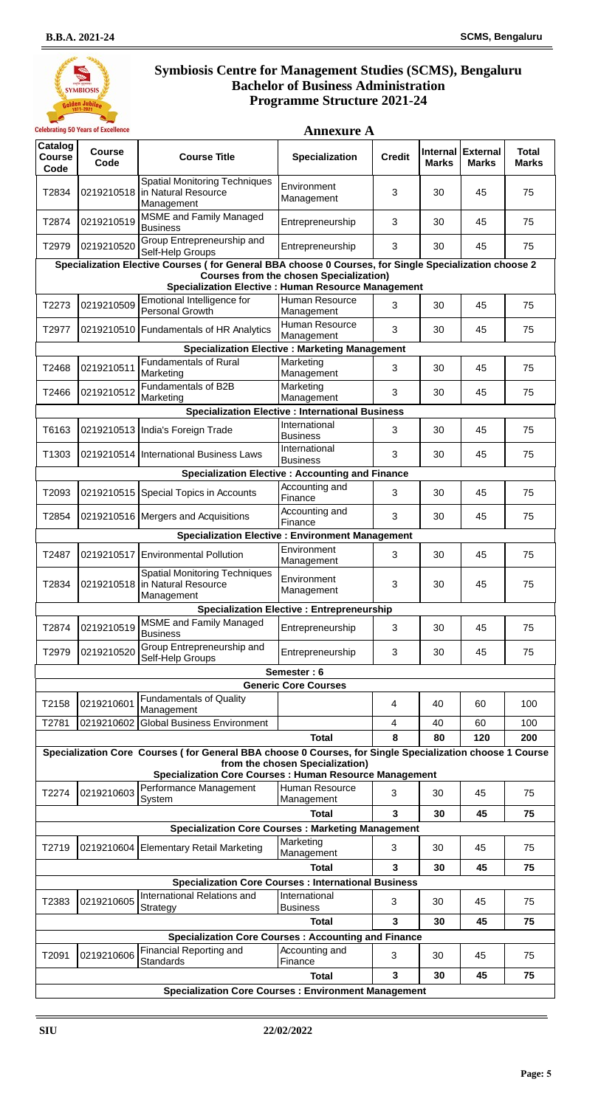**Annexure A**



| Catalog<br><b>Course</b><br>Code | <b>Course</b><br>Code | <b>Course Title</b>                                                                                                                                                       | <b>Specialization</b>                                   | <b>Credit</b> | <b>Internal</b><br><b>Marks</b> | <b>External</b><br><b>Marks</b> | <b>Total</b><br><b>Marks</b> |
|----------------------------------|-----------------------|---------------------------------------------------------------------------------------------------------------------------------------------------------------------------|---------------------------------------------------------|---------------|---------------------------------|---------------------------------|------------------------------|
| T2834                            |                       | <b>Spatial Monitoring Techniques</b><br>0219210518 In Natural Resource<br>Management                                                                                      | Environment<br>Management                               | 3             | 30                              | 45                              | 75                           |
| T2874                            | 0219210519            | <b>MSME</b> and Family Managed<br><b>Business</b>                                                                                                                         | Entrepreneurship                                        | 3             | 30                              | 45                              | 75                           |
| T2979                            | 0219210520            | Group Entrepreneurship and<br>Self-Help Groups                                                                                                                            | Entrepreneurship                                        | 3             | 30                              | 45                              | 75                           |
|                                  |                       | Specialization Elective Courses (for General BBA choose 0 Courses, for Single Specialization choose 2                                                                     |                                                         |               |                                 |                                 |                              |
|                                  |                       | <b>Specialization Elective : Human Resource Management</b>                                                                                                                | <b>Courses from the chosen Specialization)</b>          |               |                                 |                                 |                              |
| T2273                            | 0219210509            | Emotional Intelligence for<br>Personal Growth                                                                                                                             | Human Resource<br>Management                            | 3             | 30                              | 45                              | 75                           |
| T2977                            |                       | 0219210510   Fundamentals of HR Analytics                                                                                                                                 | Human Resource<br>Management                            | 3             | 30                              | 45                              | 75                           |
|                                  |                       | <b>Specialization Elective : Marketing Management</b>                                                                                                                     |                                                         |               |                                 |                                 |                              |
| T2468                            | 0219210511            | <b>Fundamentals of Rural</b><br>Marketing                                                                                                                                 | Marketing<br>Management                                 | 3             | 30                              | 45                              | 75                           |
| T2466                            | 0219210512            | Fundamentals of B2B<br>Marketing                                                                                                                                          | Marketing<br>Management                                 | 3             | 30                              | 45                              | 75                           |
|                                  |                       |                                                                                                                                                                           | <b>Specialization Elective : International Business</b> |               |                                 |                                 |                              |
| T6163                            |                       | 0219210513   India's Foreign Trade                                                                                                                                        | International<br><b>Business</b>                        | 3             | 30                              | 45                              | 75                           |
| T1303                            |                       | 0219210514   International Business Laws                                                                                                                                  | International<br><b>Business</b>                        | 3             | 30                              | 45                              | 75                           |
|                                  |                       | <b>Specialization Elective: Accounting and Finance</b>                                                                                                                    |                                                         |               |                                 |                                 |                              |
| T2093                            |                       | 0219210515 Special Topics in Accounts                                                                                                                                     | Accounting and<br>Finance                               | 3             | 30                              | 45                              | 75                           |
| T2854                            |                       | 0219210516   Mergers and Acquisitions                                                                                                                                     | Accounting and<br>Finance                               | 3             | 30                              | 45                              | 75                           |
|                                  |                       | <b>Specialization Elective: Environment Management</b>                                                                                                                    |                                                         |               |                                 |                                 |                              |
| T2487                            | 0219210517            | <b>Environmental Pollution</b>                                                                                                                                            | Environment<br>Management                               | 3             | 30                              | 45                              | 75                           |
| T2834                            |                       | <b>Spatial Monitoring Techniques</b><br>0219210518 In Natural Resource<br>Management                                                                                      | Environment<br>Management                               | 3             | 30                              | 45                              | 75                           |
|                                  |                       |                                                                                                                                                                           | <b>Specialization Elective : Entrepreneurship</b>       |               |                                 |                                 |                              |
| T2874                            | 0219210519            | <b>MSME</b> and Family Managed<br><b>Business</b>                                                                                                                         | Entrepreneurship                                        | 3             | 30                              | 45                              | 75                           |
| T2979                            | 0219210520            | Group Entrepreneurship and<br>Self-Help Groups                                                                                                                            | Entrepreneurship                                        | 3             | 30                              | 45                              | 75                           |
|                                  |                       |                                                                                                                                                                           | Semester: 6                                             |               |                                 |                                 |                              |
|                                  |                       |                                                                                                                                                                           | <b>Generic Core Courses</b>                             |               |                                 |                                 |                              |
| T2158                            | 0219210601            | <b>Fundamentals of Quality</b><br>Management                                                                                                                              |                                                         | 4             | 40                              | 60                              | 100                          |
| T2781                            | 0219210602            | <b>Global Business Environment</b>                                                                                                                                        |                                                         | 4             | 40                              | 60                              | 100                          |
|                                  |                       |                                                                                                                                                                           | <b>Total</b>                                            | 8             | 80                              | 120                             | 200                          |
|                                  |                       | Specialization Core Courses (for General BBA choose 0 Courses, for Single Specialization choose 1 Course<br><b>Specialization Core Courses: Human Resource Management</b> | from the chosen Specialization)                         |               |                                 |                                 |                              |
| T2274                            | 0219210603            | Performance Management<br>System                                                                                                                                          | Human Resource<br>Management                            | 3             | 30                              | 45                              | 75                           |
|                                  |                       |                                                                                                                                                                           | <b>Total</b>                                            | 3             | 30                              | 45                              | 75                           |
|                                  |                       | <b>Specialization Core Courses: Marketing Management</b>                                                                                                                  |                                                         |               |                                 |                                 |                              |
| T2719                            |                       | 0219210604 Elementary Retail Marketing                                                                                                                                    | Marketing<br>Management                                 | 3             | 30                              | 45                              | 75                           |
|                                  |                       |                                                                                                                                                                           | <b>Total</b>                                            | 3             | 30                              | 45                              | 75                           |

|       | <b>Specialization Core Courses: International Business</b> |                                                 |                                  |   |    |    |    |  |  |  |
|-------|------------------------------------------------------------|-------------------------------------------------|----------------------------------|---|----|----|----|--|--|--|
| T2383 |                                                            | 0219210605 International Relations and          | International<br><b>Business</b> | 3 | 30 | 45 | 75 |  |  |  |
|       | 30<br>45<br><b>Total</b><br>3<br>75                        |                                                 |                                  |   |    |    |    |  |  |  |
|       | <b>Specialization Core Courses: Accounting and Finance</b> |                                                 |                                  |   |    |    |    |  |  |  |
| T2091 |                                                            | 0219210606 Financial Reporting and<br>Standards | Accounting and<br>Finance        | 3 | 30 | 45 | 75 |  |  |  |
|       | <b>Total</b><br>30<br>45<br>75                             |                                                 |                                  |   |    |    |    |  |  |  |
|       | <b>Specialization Core Courses: Environment Management</b> |                                                 |                                  |   |    |    |    |  |  |  |

**Page: 5**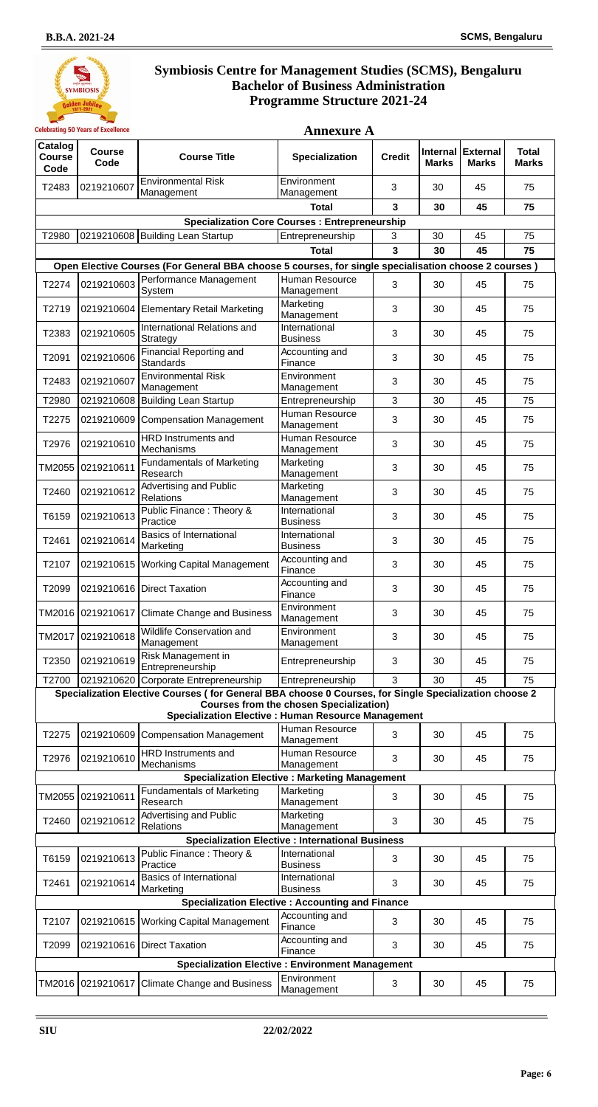

| Catalog<br><b>Course</b><br>Code | <b>Course</b><br>Code | <b>Course Title</b>                                                                                   | Specialization                                          | <b>Credit</b> | Internal<br><b>Marks</b> | <b>External</b><br><b>Marks</b> | <b>Total</b><br><b>Marks</b> |
|----------------------------------|-----------------------|-------------------------------------------------------------------------------------------------------|---------------------------------------------------------|---------------|--------------------------|---------------------------------|------------------------------|
| T2483                            | 0219210607            | <b>Environmental Risk</b><br>Management                                                               | Environment<br>Management                               | 3             | 30                       | 45                              | 75                           |
|                                  |                       |                                                                                                       | <b>Total</b>                                            | 3             | 30                       | 45                              | 75                           |
|                                  |                       |                                                                                                       | <b>Specialization Core Courses: Entrepreneurship</b>    |               |                          |                                 |                              |
| T2980                            |                       | 0219210608 Building Lean Startup                                                                      | Entrepreneurship                                        | 3             | 30                       | 45                              | 75                           |
|                                  |                       |                                                                                                       | <b>Total</b>                                            | 3             | 30                       | 45                              | 75                           |
|                                  |                       | Open Elective Courses (For General BBA choose 5 courses, for single specialisation choose 2 courses)  |                                                         |               |                          |                                 |                              |
| T2274                            | 0219210603            | Performance Management<br>System                                                                      | Human Resource<br>Management                            | 3             | 30                       | 45                              | 75                           |
| T2719                            |                       | 0219210604 Elementary Retail Marketing                                                                | Marketing<br>Management                                 | 3             | 30                       | 45                              | 75                           |
| T2383                            | 0219210605            | International Relations and<br>Strategy                                                               | International<br><b>Business</b>                        | 3             | 30                       | 45                              | 75                           |
| T2091                            | 0219210606            | Financial Reporting and<br>Standards                                                                  | Accounting and<br>Finance                               | 3             | 30                       | 45                              | 75                           |
| T2483                            | 0219210607            | <b>Environmental Risk</b><br>Management                                                               | Environment<br>Management                               | 3             | 30                       | 45                              | 75                           |
| T2980                            |                       | 0219210608 Building Lean Startup                                                                      | Entrepreneurship                                        | 3             | 30                       | 45                              | 75                           |
| T2275                            | 0219210609            | <b>Compensation Management</b>                                                                        | Human Resource<br>Management                            | 3             | 30                       | 45                              | 75                           |
| T2976                            | 0219210610            | HRD Instruments and<br>Mechanisms                                                                     | Human Resource<br>Management                            | 3             | 30                       | 45                              | 75                           |
| TM2055                           | 0219210611            | <b>Fundamentals of Marketing</b><br>Research                                                          | Marketing<br>Management                                 | 3             | 30                       | 45                              | 75                           |
| T2460                            | 0219210612            | Advertising and Public<br>Relations                                                                   | Marketing<br>Management                                 | 3             | 30                       | 45                              | 75                           |
| T6159                            | 0219210613            | Public Finance: Theory &<br>Practice                                                                  | International<br><b>Business</b>                        | 3             | 30                       | 45                              | 75                           |
| T2461                            | 0219210614            | <b>Basics of International</b><br>Marketing                                                           | International<br><b>Business</b>                        | 3             | 30                       | 45                              | 75                           |
| T2107                            |                       | 0219210615   Working Capital Management                                                               | Accounting and<br>Finance                               | 3             | 30                       | 45                              | 75                           |
| T2099                            |                       | 0219210616 Direct Taxation                                                                            | Accounting and<br>Finance                               | 3             | 30                       | 45                              | 75                           |
| TM2016                           | 0219210617            | <b>Climate Change and Business</b>                                                                    | Environment<br>Management                               | 3             | 30                       | 45                              | 75                           |
| TM2017                           | 0219210618            | Wildlife Conservation and<br>Management                                                               | Environment<br>Management                               | 3             | 30                       | 45                              | 75                           |
| T2350                            | 0219210619            | Risk Management in<br>Entrepreneurship                                                                | Entrepreneurship                                        | 3             | 30                       | 45                              | 75                           |
| T2700                            |                       | 0219210620 Corporate Entrepreneurship                                                                 | Entrepreneurship                                        | 3             | 30                       | 45                              | 75                           |
|                                  |                       | Specialization Elective Courses (for General BBA choose 0 Courses, for Single Specialization choose 2 |                                                         |               |                          |                                 |                              |
|                                  |                       | <b>Specialization Elective : Human Resource Management</b>                                            | <b>Courses from the chosen Specialization)</b>          |               |                          |                                 |                              |
|                                  |                       |                                                                                                       | Human Resource                                          |               |                          |                                 |                              |
| T2275                            | 0219210609            | <b>Compensation Management</b><br>HRD Instruments and                                                 | Management<br>Human Resource                            | 3             | 30                       | 45                              | 75                           |
| T2976                            | 0219210610            | Mechanisms                                                                                            | Management                                              | 3             | 30                       | 45                              | 75                           |
|                                  |                       |                                                                                                       | <b>Specialization Elective: Marketing Management</b>    |               |                          |                                 |                              |
| TM2055                           | 0219210611            | <b>Fundamentals of Marketing</b><br>Research                                                          | Marketing<br>Management                                 | 3             | 30                       | 45                              | 75                           |
| T2460                            | 0219210612            | Advertising and Public<br>Relations                                                                   | Marketing<br>Management                                 | 3             | 30                       | 45                              | 75                           |
|                                  |                       |                                                                                                       | <b>Specialization Elective : International Business</b> |               |                          |                                 |                              |
| T6159                            | 0219210613            | Public Finance: Theory &<br>Practice                                                                  | International<br><b>Business</b>                        | 3             | 30                       | 45                              | 75                           |
| T2461                            | 0219210614            | <b>Basics of International</b><br>Marketing                                                           | International<br><b>Business</b>                        | 3             | 30                       | 45                              | 75                           |
|                                  |                       | <b>Specialization Elective : Accounting and Finance</b>                                               |                                                         |               |                          |                                 |                              |
| T2107                            |                       | 0219210615 Working Capital Management                                                                 | Accounting and<br>Finance                               | 3             | 30                       | 45                              | 75                           |
| T2099                            |                       | 0219210616 Direct Taxation                                                                            | Accounting and<br>Finance                               | 3             | 30                       | 45                              | 75                           |
|                                  |                       | <b>Specialization Elective: Environment Management</b>                                                |                                                         |               |                          |                                 |                              |
|                                  |                       | TM2016 0219210617 Climate Change and Business                                                         | Environment<br>Management                               | 3             | 30                       | 45                              | 75                           |

**Page: 6**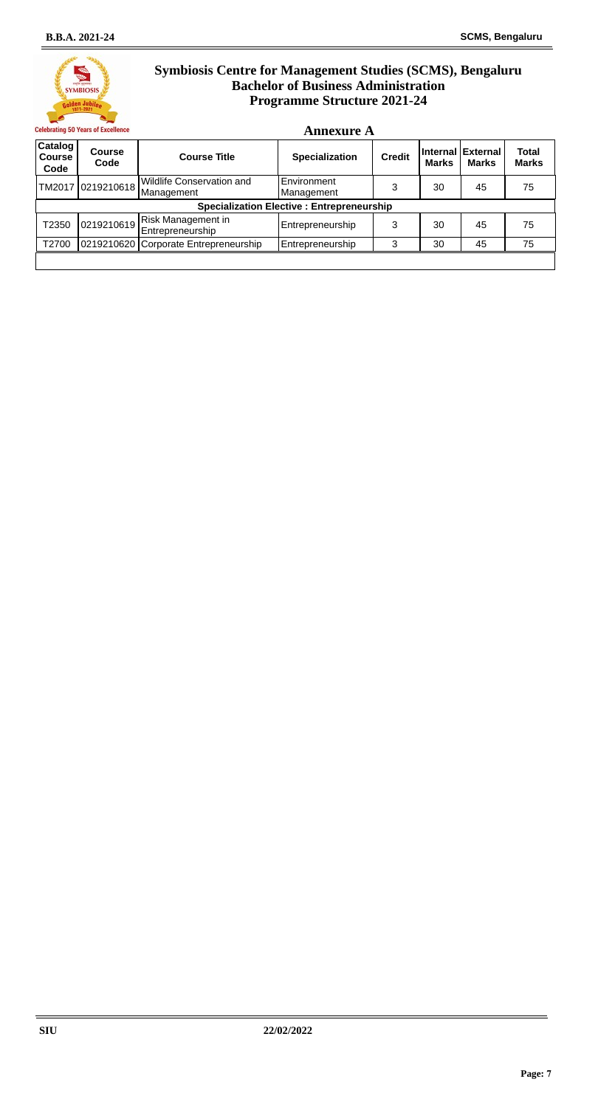**Annexure A**



| Catalog<br><b>Course</b><br>Code | <b>Course</b><br>Code | <b>Course Title</b>                           | <b>Specialization</b>                            | <b>Credit</b> | <b>Marks</b> | Internal External<br><b>Marks</b> | <b>Total</b><br><b>Marks</b> |
|----------------------------------|-----------------------|-----------------------------------------------|--------------------------------------------------|---------------|--------------|-----------------------------------|------------------------------|
|                                  | TM2017 0219210618     | Wildlife Conservation and<br>Management       | Environment<br>Management                        | 3             | 30           | 45                                | 75                           |
|                                  |                       |                                               | <b>Specialization Elective: Entrepreneurship</b> |               |              |                                   |                              |
| T2350                            | 0219210619            | <b>Risk Management in</b><br>Entrepreneurship | Entrepreneurship                                 | 3             | 30           | 45                                | 75                           |
| T2700                            |                       | 0219210620 Corporate Entrepreneurship         | Entrepreneurship                                 | 3             | 30           | 45                                | 75                           |
|                                  |                       |                                               |                                                  |               |              |                                   |                              |

**Page: 7**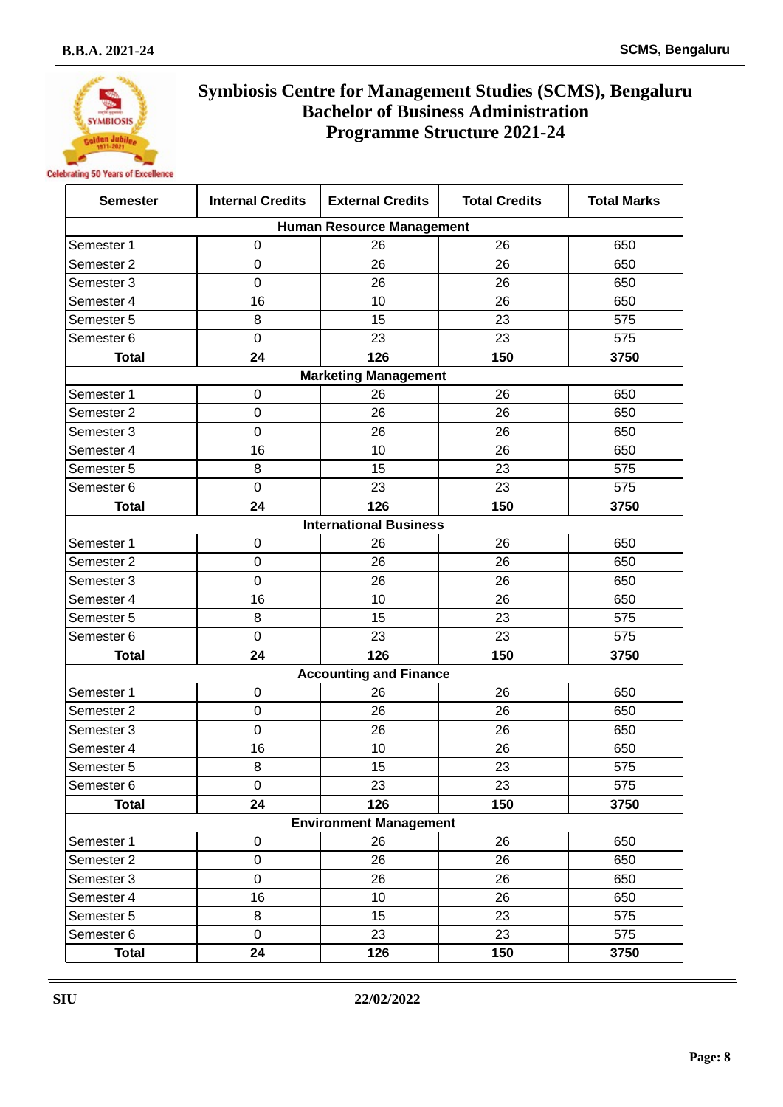

| <b>Semester</b>                  | <b>Internal Credits</b> | <b>External Credits</b>       | <b>Total Credits</b> | <b>Total Marks</b> |  |  |  |  |  |
|----------------------------------|-------------------------|-------------------------------|----------------------|--------------------|--|--|--|--|--|
| <b>Human Resource Management</b> |                         |                               |                      |                    |  |  |  |  |  |
| Semester 1                       | 0                       | 26                            | 26                   | 650                |  |  |  |  |  |
| Semester 2                       | 0                       | 26                            | 26                   | 650                |  |  |  |  |  |
| Semester 3                       | 0                       | 26                            | 26                   | 650                |  |  |  |  |  |
| Semester 4                       | 16                      | 10                            | 26                   | 650                |  |  |  |  |  |
| Semester 5                       | 8                       | 15                            | 23                   | 575                |  |  |  |  |  |
| Semester 6                       | 0                       | 23                            | 23                   | 575                |  |  |  |  |  |
| <b>Total</b>                     | 24                      | 126                           | 150                  | 3750               |  |  |  |  |  |
|                                  |                         | <b>Marketing Management</b>   |                      |                    |  |  |  |  |  |
| Semester 1                       | 0                       | 26                            | 26                   | 650                |  |  |  |  |  |
| Semester 2                       | 0                       | 26                            | 26                   | 650                |  |  |  |  |  |
| Semester 3                       | 0                       | 26                            | 26                   | 650                |  |  |  |  |  |
| Semester 4                       | 16                      | 10                            | 26                   | 650                |  |  |  |  |  |
| Semester 5                       | 8                       | 15                            | 23                   | 575                |  |  |  |  |  |
| Semester 6                       | $\mathbf 0$             | 23                            | 23                   | 575                |  |  |  |  |  |
| <b>Total</b>                     | 24                      | 126                           | 150                  | 3750               |  |  |  |  |  |
|                                  |                         | <b>International Business</b> |                      |                    |  |  |  |  |  |
| Semester 1                       | 0                       | 26                            | 26                   | 650                |  |  |  |  |  |
| Semester 2                       | 0                       | 26                            | 26                   | 650                |  |  |  |  |  |
| Semester 3                       | 0                       | 26                            | 26                   | 650                |  |  |  |  |  |
| Semester 4                       | 16                      | 10                            | 26                   | 650                |  |  |  |  |  |
| Semester 5                       | 8                       | 15                            | 23                   | 575                |  |  |  |  |  |
| Semester 6                       | $\mathbf 0$             | 23                            | 23                   | 575                |  |  |  |  |  |
| <b>Total</b>                     | 24                      | 126                           | 150                  | 3750               |  |  |  |  |  |
|                                  |                         | <b>Accounting and Finance</b> |                      |                    |  |  |  |  |  |
| Semester 1                       | 0                       | 26                            | 26                   | 650                |  |  |  |  |  |
| Semester 2                       | 0                       | 26                            | 26                   | 650                |  |  |  |  |  |
| Semester 3                       | 0                       | 26                            | 26                   | 650                |  |  |  |  |  |
| Semester 4                       | 16                      | 10                            | 26                   | 650                |  |  |  |  |  |
| Semester 5                       | 8                       | 15                            | 23                   | 575                |  |  |  |  |  |
| Semester 6                       | 0                       | 23                            | 23                   | 575                |  |  |  |  |  |
| <b>Total</b>                     | 24                      | 126                           | 150                  | 3750               |  |  |  |  |  |
|                                  |                         | <b>Environment Management</b> |                      |                    |  |  |  |  |  |
| Semester 1                       | $\pmb{0}$               | 26                            | 26                   | 650                |  |  |  |  |  |
| Semester 2                       | $\boldsymbol{0}$        | 26                            | 26                   | 650                |  |  |  |  |  |
| Semester 3                       | 0                       | 26                            | 26                   | 650                |  |  |  |  |  |
| Semester 4                       | 16                      | 10                            | 26                   | 650                |  |  |  |  |  |
| Semester 5                       | 8                       | 15                            | 23                   | 575                |  |  |  |  |  |
| Semester 6                       | $\mathbf 0$             | 23                            | 23                   | 575                |  |  |  |  |  |
| <b>Total</b>                     | 24                      | 126                           | 150                  | 3750               |  |  |  |  |  |